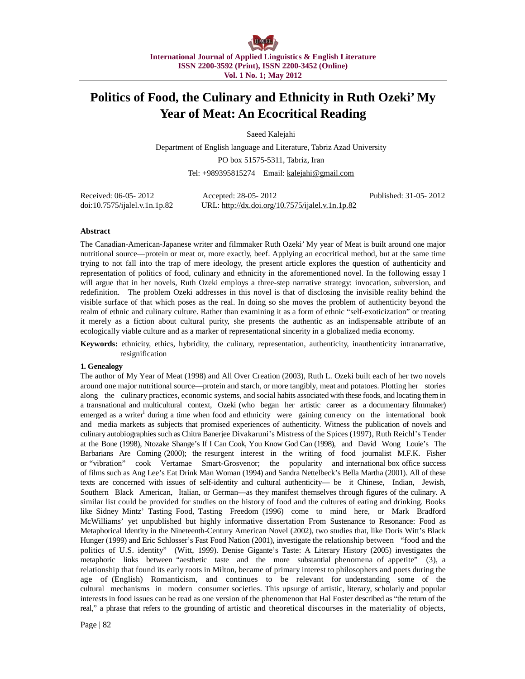# **Politics of Food, the Culinary and Ethnicity in Ruth Ozeki' My Year of Meat: An Ecocritical Reading**

Saeed Kalejahi

Department of English language and Literature, Tabriz Azad University PO box 51575-5311, Tabriz, Iran Tel: +989395815274 Email: [kalejahi@gmail.com](mailto:kalejahi@gmail.com)

Received: 06-05- 2012 Accepted: 28-05- 2012 Published: 31-05- 2012 doi:10.7575/ijalel.v.1n.1p.82 URL: <http://dx.doi.org/10.7575/ijalel.v.1n.1p.82>

### **Abstract**

The Canadian-American-Japanese writer and filmmaker Ruth Ozeki' My year of Meat is built around one major nutritional source—protein or meat or, more exactly, beef. Applying an ecocritical method, but at the same time trying to not fall into the trap of mere ideology, the present article explores the question of authenticity and representation of politics of food, culinary and ethnicity in the aforementioned novel. In the following essay I will argue that in her novels, Ruth Ozeki employs a three-step narrative strategy: invocation, subversion, and redefinition. The problem Ozeki addresses in this novel is that of disclosing the invisible reality behind the visible surface of that which poses as the real. In doing so she moves the problem of authenticity beyond the realm of ethnic and culinary culture. Rather than examining it as a form of ethnic "self-exoticization" or treating it merely as a fiction about cultural purity, she presents the authentic as an indispensable attribute of an ecologically viable culture and as a marker of representational sincerity in a globalized media economy.

**Keywords:** ethnicity, ethics, hybridity, the culinary, representation, authenticity, inauthenticity intranarrative, resignification

### **1. Genealogy**

The author of My Year of Meat (1998) and All Over Creation (2003), Ruth L. Ozeki built each of her two novels around one major nutritional source—protein and starch, or more tangibly, meat and potatoes. Plotting her stories along the culinary practices, economic systems, and social habits associated with these foods, and locating them in a transnational and multicultural context, Ozeki (who began her artistic career as a documentary filmmaker) emerged as a writer<sup>i</sup> during a time when food and ethnicity were gaining currency on the international book and media markets as subjects that promised experiences of authenticity. Witness the publication of novels and culinary autobiographiessuch as Chitra Banerjee Divakaruni's Mistress of the Spices (1997), Ruth Reichl's Tender at the Bone (1998), Ntozake Shange's If I Can Cook, You Know God Can (1998), and David Wong Louie's The Barbarians Are Coming (2000); the resurgent interest in the writing of food journalist M.F.K. Fisher or "vibration" cook Vertamae Smart-Grosvenor; the popularity and international box office success of films such as Ang Lee's Eat Drink Man Woman (1994) and Sandra Nettelbeck's Bella Martha (2001). All of these texts are concerned with issues of self-identity and cultural authenticity— be it Chinese, Indian, Jewish, Southern Black American, Italian, or German—as they manifest themselves through figures of the culinary. A similar list could be provided for studies on the history of food and the cultures of eating and drinking. Books like Sidney Mintz' Tasting Food, Tasting Freedom (1996) come to mind here, or Mark Bradford McWilliams' yet unpublished but highly informative dissertation From Sustenance to Resonance: Food as Metaphorical Identity in the Nineteenth-Century American Novel (2002), two studies that, like Doris Witt's Black Hunger (1999) and Eric Schlosser's Fast Food Nation (2001), investigate the relationship between "food and the politics of U.S. identity" (Witt, 1999). Denise Gigante's Taste: A Literary History (2005) investigates the metaphoric links between "aesthetic taste and the more substantial phenomena of appetite" (3), a relationship that found its early roots in Milton, became of primary interest to philosophers and poets during the age of (English) Romanticism, and continues to be relevant for understanding some of the cultural mechanisms in modern consumer societies. This upsurge of artistic, literary, scholarly and popular interests in food issues can be read as one version of the phenomenon that Hal Foster described as "the return of the real," a phrase that refers to the grounding of artistic and theoretical discourses in the materiality of objects,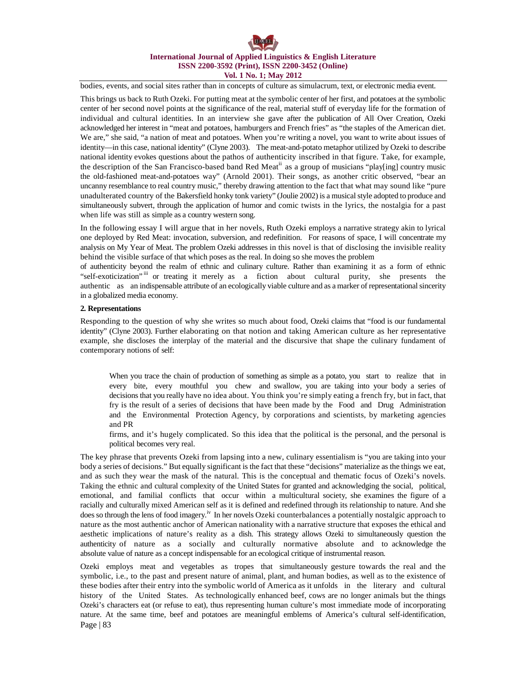bodies, events, and social sites rather than in concepts of culture as simulacrum, text, or electronic media event.

This brings us back to Ruth Ozeki. For putting meat at the symbolic center of her first, and potatoes at the symbolic center of her second novel points at the significance of the real, material stuff of everyday life for the formation of individual and cultural identities. In an interview she gave after the publication of All Over Creation, Ozeki acknowledged her interest in "meat and potatoes, hamburgers and French fries" as "the staples of the American diet. We are," she said, "a nation of meat and potatoes. When you're writing a novel, you want to write about issues of identity—in this case, national identity" (Clyne 2003). The meat-and-potato metaphor utilized by Ozeki to describe national identity evokes questions about the pathos of authenticity inscribed in that figure. Take, for example, the description of the San Francisco-based band Red Meat<sup>ii</sup> as a group of musicians "play[ing] country music the old-fashioned meat-and-potatoes way" (Arnold 2001). Their songs, as another critic observed, "bear an uncanny resemblance to real country music," thereby drawing attention to the fact that what may sound like "pure unadulterated country of the Bakersfield honky tonk variety" (Joulie 2002) is a musical style adopted to produce and simultaneously subvert, through the application of humor and comic twists in the lyrics, the nostalgia for a past when life was still as simple as a country western song.

In the following essay I will argue that in her novels, Ruth Ozeki employs a narrative strategy akin to lyrical one deployed by Red Meat: invocation, subversion, and redefinition. For reasons of space, I will concentrate my analysis on My Year of Meat. The problem Ozeki addresses in this novel is that of disclosing the invisible reality behind the visible surface of that which poses as the real. In doing so she moves the problem

of authenticity beyond the realm of ethnic and culinary culture. Rather than examining it as a form of ethnic "self-exoticization" iii or treating it merely as a fiction about cultural purity, she presents the authentic as an indispensable attribute of an ecologically viable culture and as a marker of representationalsincerity in a globalized media economy.

### **2. Representations**

Responding to the question of why she writes so much about food, Ozeki claims that "food is our fundamental identity" (Clyne 2003). Further elaborating on that notion and taking American culture as her representative example, she discloses the interplay of the material and the discursive that shape the culinary fundament of contemporary notions of self:

When you trace the chain of production of something as simple as a potato, you start to realize that in every bite, every mouthful you chew and swallow, you are taking into your body a series of decisions that you really have no idea about. You think you're simply eating a french fry, but in fact, that fry is the result of a series of decisions that have been made by the Food and Drug Administration and the Environmental Protection Agency, by corporations and scientists, by marketing agencies and PR

firms, and it's hugely complicated. So this idea that the political is the personal, and the personal is political becomes very real.

The key phrase that prevents Ozeki from lapsing into a new, culinary essentialism is "you are taking into your body a series of decisions." But equally significant is the fact that these "decisions" materialize as the things we eat, and as such they wear the mask of the natural. This is the conceptual and thematic focus of Ozeki's novels. Taking the ethnic and cultural complexity of the United States for granted and acknowledging the social, political, emotional, and familial conflicts that occur within a multicultural society, she examines the figure of a racially and culturally mixed American self as it is defined and redefined through its relationship to nature. And she does so through the lens of food imagery.<sup>iv</sup> In her novels Ozeki counterbalances a potentially nostalgic approach to nature as the most authentic anchor of American nationality with a narrative structure that exposes the ethical and aesthetic implications of nature's reality as a dish. This strategy allows Ozeki to simultaneously question the authenticity of nature as a socially and culturally normative absolute and to acknowledge the absolute value of nature as a concept indispensable for an ecological critique of instrumental reason.

Page | 83 Ozeki employs meat and vegetables as tropes that simultaneously gesture towards the real and the symbolic, i.e., to the past and present nature of animal, plant, and human bodies, as well as to the existence of these bodies after their entry into the symbolic world of America as it unfolds in the literary and cultural history of the United States. As technologically enhanced beef, cows are no longer animals but the things Ozeki's characters eat (or refuse to eat), thus representing human culture's most immediate mode of incorporating nature. At the same time, beef and potatoes are meaningful emblems of America's cultural self-identification,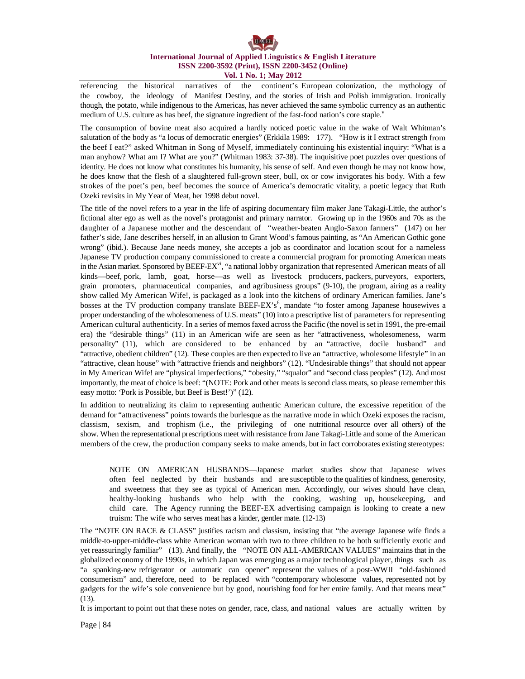referencing the historical narratives of the continent's European colonization, the mythology of the cowboy, the ideology of Manifest Destiny, and the stories of Irish and Polish immigration. Ironically though, the potato, while indigenous to the Americas, has never achieved the same symbolic currency as an authentic medium of U.S. culture as has beef, the signature ingredient of the fast-food nation's core staple.

The consumption of bovine meat also acquired a hardly noticed poetic value in the wake of Walt Whitman's salutation of the body as "a locus of democratic energies" (Erkkila 1989: 177). "How is it I extract strength from the beef I eat?" asked Whitman in Song of Myself, immediately continuing his existential inquiry: "What is a man anyhow? What am I? What are you?" (Whitman 1983: 37-38). The inquisitive poet puzzles over questions of identity. He does not know what constitutes his humanity, his sense of self. And even though he may not know how, he does know that the flesh of a slaughtered full-grown steer, bull, ox or cow invigorates his body. With a few strokes of the poet's pen, beef becomes the source of America's democratic vitality, a poetic legacy that Ruth Ozeki revisits in My Year of Meat, her 1998 debut novel.

The title of the novel refers to a year in the life of aspiring documentary film maker Jane Takagi-Little, the author's fictional alter ego as well as the novel's protagonist and primary narrator. Growing up in the 1960s and 70s as the daughter of a Japanese mother and the descendant of "weather-beaten Anglo-Saxon farmers" (147) on her father's side, Jane describes herself, in an allusion to Grant Wood's famous painting, as "An American Gothic gone wrong" (ibid.). Because Jane needs money, she accepts a job as coordinator and location scout for a nameless Japanese TV production company commissioned to create a commercial program for promoting American meats in the Asian market. Sponsored by BEEF-EX<sup>vi</sup>, "a national lobby organization that represented American meats of all kinds—beef, pork, lamb, goat, horse—as well as livestock producers, packers, purveyors, exporters, grain promoters, pharmaceutical companies, and agribusiness groups" (9-10), the program, airing as a reality show called My American Wife!, is packaged as a look into the kitchens of ordinary American families. Jane's bosses at the TV production company translate BEEF-EX's<sup>6</sup>, mandate "to foster among Japanese housewives a proper understanding of the wholesomeness of U.S. meats" (10) into a prescriptive list of parameters for representing American cultural authenticity. In a series of memosfaxed acrossthe Pacific (the novel is set in 1991, the pre-email era) the "desirable things" (11) in an American wife are seen as her "attractiveness, wholesomeness, warm personality" (11), which are considered to be enhanced by an "attractive, docile husband" and "attractive, obedient children" (12). These couples are then expected to live an "attractive, wholesome lifestyle" in an "attractive, clean house" with "attractive friends and neighbors" (12). "Undesirable things" that should not appear in My American Wife! are "physical imperfections," "obesity," "squalor" and "second class peoples" (12). And most importantly, the meat of choice is beef: "(NOTE: Pork and other meats is second class meats, so please remember this easy motto: 'Pork is Possible, but Beef is Best!')" (12).

In addition to neutralizing its claim to representing authentic American culture, the excessive repetition of the demand for "attractiveness" points towards the burlesque as the narrative mode in which Ozeki exposes the racism, classism, sexism, and trophism (i.e., the privileging of one nutritional resource over all others) of the show. When the representational prescriptions meet with resistance from Jane Takagi-Little and some of the American members of the crew, the production company seeks to make amends, but in fact corroborates existing stereotypes:

NOTE ON AMERICAN HUSBANDS—Japanese market studies show that Japanese wives often feel neglected by their husbands and are susceptible to the qualities of kindness, generosity, and sweetness that they see as typical of American men. Accordingly, our wives should have clean, healthy-looking husbands who help with the cooking, washing up, housekeeping, and child care. The Agency running the BEEF-EX advertising campaign is looking to create a new truism: The wife who serves meat has a kinder, gentler mate. (12-13)

The "NOTE ON RACE & CLASS" justifies racism and classism, insisting that "the average Japanese wife finds a middle-to-upper-middle-class white American woman with two to three children to be both sufficiently exotic and yet reassuringly familiar" (13). And finally, the "NOTE ON ALL-AMERICAN VALUES" maintains that in the globalized economy of the 1990s, in which Japan was emerging as a major technological player, things such as "a spanking-new refrigerator or automatic can opener" represent the values of a post-WWII "old-fashioned consumerism" and, therefore, need to be replaced with "contemporary wholesome values, represented not by gadgets for the wife's sole convenience but by good, nourishing food for her entire family. And that means meat" (13).

It is important to point out that these notes on gender, race, class, and national values are actually written by

Page | 84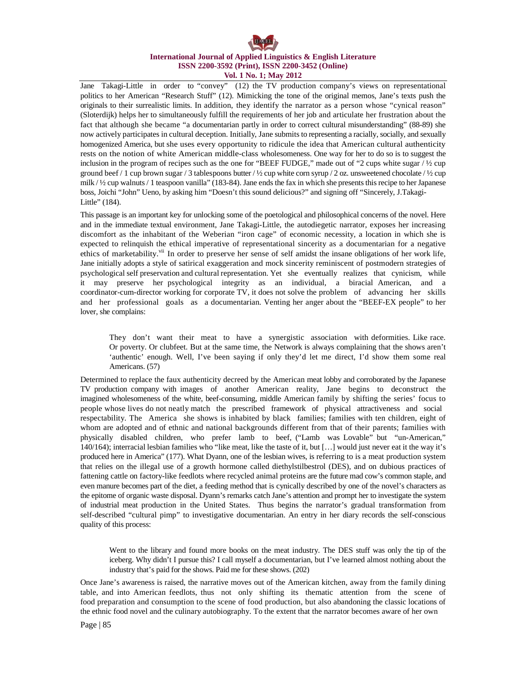Jane Takagi-Little in order to "convey" (12) the TV production company's views on representational politics to her American "Research Stuff" (12). Mimicking the tone of the original memos, Jane's texts push the originals to their surrealistic limits. In addition, they identify the narrator as a person whose "cynical reason" (Sloterdijk) helps her to simultaneously fulfill the requirements of her job and articulate her frustration about the fact that although she became "a documentarian partly in order to correct cultural misunderstanding" (88-89) she now actively participates in cultural deception. Initially, Jane submits to representing a racially, socially, and sexually homogenized America, but she uses every opportunity to ridicule the idea that American cultural authenticity rests on the notion of white American middle-class wholesomeness. One way for her to do so is to suggest the inclusion in the program of recipes such as the one for "BEEF FUDGE," made out of "2 cups white sugar / ½ cup ground beef / 1 cup brown sugar / 3 tablespoons butter /  $\frac{1}{2}$  cup white corn syrup / 2 oz. unsweetened chocolate /  $\frac{1}{2}$  cup milk / ½ cup walnuts/ 1 teaspoon vanilla" (183-84). Jane ends the fax in which she presents thisrecipe to herJapanese boss, Joichi "John" Ueno, by asking him "Doesn't this sound delicious?" and signing off "Sincerely, J.Takagi-Little" (184).

This passage is an important key for unlocking some of the poetological and philosophical concerns of the novel. Here and in the immediate textual environment, Jane Takagi-Little, the autodiegetic narrator, exposes her increasing discomfort as the inhabitant of the Weberian "iron cage" of economic necessity, a location in which she is expected to relinquish the ethical imperative of representational sincerity as a documentarian for a negative ethics of marketability.<sup>vii</sup> In order to preserve her sense of self amidst the insane obligations of her work life, Jane initially adopts a style of satirical exaggeration and mock sincerity reminiscent of postmodern strategies of psychological self preservation and cultural representation. Yet she eventually realizes that cynicism, while it may preserve her psychological integrity as an individual, a biracial American, and a coordinator-cum-director working for corporate TV, it does not solve the problem of advancing her skills and her professional goals as a documentarian. Venting her anger about the "BEEF-EX people" to her lover, she complains:

They don't want their meat to have a synergistic association with deformities. Like race. Or poverty. Or clubfeet. But at the same time, the Network is always complaining that the shows aren't 'authentic' enough. Well, I've been saying if only they'd let me direct, I'd show them some real Americans. (57)

Determined to replace the faux authenticity decreed by the American meat lobby and corroborated by the Japanese TV production company with images of another American reality, Jane begins to deconstruct the imagined wholesomeness of the white, beef-consuming, middle American family by shifting the series' focus to people whose lives do not neatly match the prescribed framework of physical attractiveness and social respectability. The America she shows is inhabited by black families; families with ten children, eight of whom are adopted and of ethnic and national backgrounds different from that of their parents; families with physically disabled children, who prefer lamb to beef, ("Lamb was Lovable" but "un-American," 140/164); interracial lesbian families who "like meat, like the taste of it, but […] would just never eat it the way it's produced here in America" (177). What Dyann, one of the lesbian wives, is referring to is a meat production system that relies on the illegal use of a growth hormone called diethylstilbestrol (DES), and on dubious practices of fattening cattle on factory-like feedlots where recycled animal proteins are the future mad cow's common staple, and even manure becomes part of the diet, a feeding method that is cynically described by one of the novel's characters as the epitome of organic waste disposal. Dyann's remarks catch Jane's attention and prompt her to investigate the system of industrial meat production in the United States. Thus begins the narrator's gradual transformation from self-described "cultural pimp" to investigative documentarian. An entry in her diary records the self-conscious quality of this process:

Went to the library and found more books on the meat industry. The DES stuff was only the tip of the iceberg. Why didn't I pursue this? I call myself a documentarian, but I've learned almost nothing about the industry that's paid for the shows. Paid me for these shows. (202)

Once Jane's awareness is raised, the narrative moves out of the American kitchen, away from the family dining table, and into American feedlots, thus not only shifting its thematic attention from the scene of food preparation and consumption to the scene of food production, but also abandoning the classic locations of the ethnic food novel and the culinary autobiography. To the extent that the narrator becomes aware of her own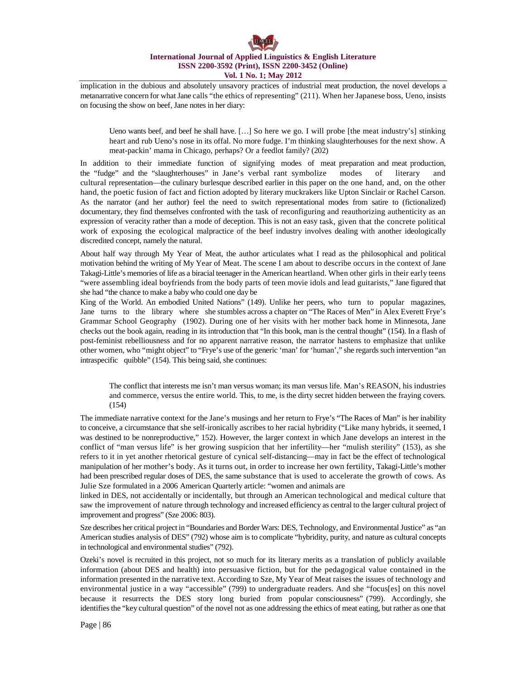implication in the dubious and absolutely unsavory practices of industrial meat production, the novel develops a metanarrative concern for what Jane calls "the ethics of representing" (211). When her Japanese boss, Ueno, insists on focusing the show on beef, Jane notes in her diary:

Ueno wants beef, and beef he shall have. […] So here we go. I will probe [the meat industry's] stinking heart and rub Ueno's nose in its offal. No more fudge. I'm thinking slaughterhouses for the next show. A meat-packin' mama in Chicago, perhaps? Or a feedlot family? (202)

In addition to their immediate function of signifying modes of meat preparation and meat production, the "fudge" and the "slaughterhouses" in Jane's verbal rant symbolize modes of literary and cultural representation—the culinary burlesque described earlier in this paper on the one hand, and, on the other hand, the poetic fusion of fact and fiction adopted by literary muckrakers like Upton Sinclair or Rachel Carson. As the narrator (and her author) feel the need to switch representational modes from satire to (fictionalized) documentary, they find themselves confronted with the task of reconfiguring and reauthorizing authenticity as an expression of veracity rather than a mode of deception. This is not an easy task, given that the concrete political work of exposing the ecological malpractice of the beef industry involves dealing with another ideologically discredited concept, namely the natural.

About half way through My Year of Meat, the author articulates what I read as the philosophical and political motivation behind the writing of My Year of Meat. The scene I am about to describe occurs in the context of Jane Takagi-Little's memories of life as a biracial teenager in the American heartland. When other girls in their early teens "were assembling ideal boyfriends from the body parts of teen movie idols and lead guitarists," Jane figured that she had "the chance to make a baby who could one day be

King of the World. An embodied United Nations" (149). Unlike her peers, who turn to popular magazines, Jane turns to the library where she stumbles across a chapter on "The Races of Men" in Alex Everett Frye's Grammar School Geography (1902). During one of her visits with her mother back home in Minnesota, Jane checks out the book again, reading in its introduction that "In this book, man is the central thought" (154). In a flash of post-feminist rebelliousness and for no apparent narrative reason, the narrator hastens to emphasize that unlike other women, who "might object" to "Frye's use of the generic 'man' for 'human'," she regards such intervention "an intraspecific quibble" (154). This being said, she continues:

The conflict that interests me isn't man versus woman; its man versus life. Man's REASON, his industries and commerce, versus the entire world. This, to me, is the dirty secret hidden between the fraying covers. (154)

The immediate narrative context for the Jane's musings and her return to Frye's "The Races of Man" is her inability to conceive, a circumstance that she self-ironically ascribes to her racial hybridity ("Like many hybrids, it seemed, I was destined to be nonreproductive," 152). However, the larger context in which Jane develops an interest in the conflict of "man versus life" is her growing suspicion that her infertility—her "mulish sterility" (153), as she refers to it in yet another rhetorical gesture of cynical self-distancing—may in fact be the effect of technological manipulation of her mother's body. As it turns out, in order to increase her own fertility, Takagi-Little's mother had been prescribed regular doses of DES, the same substance that is used to accelerate the growth of cows. As Julie Sze formulated in a 2006 American Quarterly article: "women and animals are

linked in DES, not accidentally or incidentally, but through an American technological and medical culture that saw the improvement of nature through technology and increased efficiency as central to the larger cultural project of improvement and progress" (Sze 2006: 803).

Sze describes her critical project in "Boundaries and Border Wars: DES, Technology, and Environmental Justice" as "an American studies analysis of DES" (792) whose aim is to complicate "hybridity, purity, and nature as cultural concepts in technological and environmental studies" (792).

Ozeki's novel is recruited in this project, not so much for its literary merits as a translation of publicly available information (about DES and health) into persuasive fiction, but for the pedagogical value contained in the information presented in the narrative text. According to Sze, My Year of Meat raises the issues of technology and environmental justice in a way "accessible" (799) to undergraduate readers. And she "focus[es] on this novel because it resurrects the DES story long buried from popular consciousness" (799). Accordingly, she identifies the "key cultural question" of the novel not as one addressing the ethics of meat eating, but rather as one that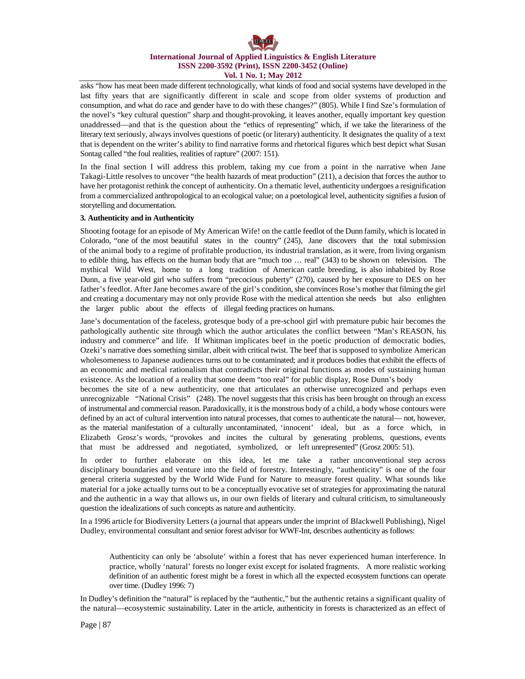asks "how has meat been made different technologically, what kinds of food and social systems have developed in the last fifty years that are significantly different in scale and scope from older systems of production and consumption, and what do race and gender have to do with these changes?" (805). While I find Sze's formulation of the novel's "key cultural question" sharp and thought-provoking, it leaves another, equally important key question unaddressed—and that is the question about the "ethics of representing" which, if we take the literariness of the literary text seriously, always involves questions of poetic (or literary) authenticity. It designates the quality of a text that is dependent on the writer's ability to find narrative forms and rhetorical figures which best depict what Susan Sontag called "the foul realities, realities of rapture" (2007: 151).

In the final section I will address this problem, taking my cue from a point in the narrative when Jane Takagi-Little resolves to uncover "the health hazards of meat production" (211), a decision that forces the author to have her protagonist rethink the concept of authenticity. On a thematic level, authenticity undergoes a resignification from a commercialized anthropological to an ecological value; on a poetological level, authenticity signifies a fusion of storytelling and documentation.

### **3. Authenticity and in Authenticity**

Shooting footage for an episode of My American Wife! on the cattle feedlot of the Dunn family, which islocated in Colorado, "one of the most beautiful states in the country" (245), Jane discovers that the total submission of the animal body to a regime of profitable production, its industrial translation, as it were, from living organism to edible thing, has effects on the human body that are "much too … real" (343) to be shown on television. The mythical Wild West, home to a long tradition of American cattle breeding, is also inhabited by Rose Dunn, a five year-old girl who suffers from "precocious puberty" (270), caused by her exposure to DES on her father's feedlot. After Jane becomes aware of the girl's condition, she convinces Rose's mother that filming the girl and creating a documentary may not only provide Rose with the medical attention she needs but also enlighten the larger public about the effects of illegal feeding practices on humans.

Jane's documentation of the faceless, grotesque body of a pre-school girl with premature pubic hair becomes the pathologically authentic site through which the author articulates the conflict between "Man's REASON, his industry and commerce" and life. If Whitman implicates beef in the poetic production of democratic bodies, Ozeki's narrative does something similar, albeit with critical twist. The beef that is supposed to symbolize American wholesomeness to Japanese audiences turns out to be contaminated; and it produces bodies that exhibit the effects of an economic and medical rationalism that contradicts their original functions as modes of sustaining human existence. As the location of a reality that some deem "too real" for public display, Rose Dunn's body

becomes the site of a new authenticity, one that articulates an otherwise unrecognized and perhaps even unrecognizable "National Crisis" (248). The novel suggests that this crisis has been brought on through an excess of instrumental and commercial reason. Paradoxically, it isthe monstrous body of a child, a body whose contours were defined by an act of cultural intervention into natural processes, that comes to authenticate the natural— not, however, as the material manifestation of a culturally uncontaminated, 'innocent' ideal, but as a force which, in Elizabeth Grosz's words, "provokes and incites the cultural by generating problems, questions, events that must be addressed and negotiated, symbolized, or left unrepresented" (Grosz 2005: 51).

In order to further elaborate on this idea, let me take a rather unconventional step across disciplinary boundaries and venture into the field of forestry. Interestingly, "authenticity" is one of the four general criteria suggested by the World Wide Fund for Nature to measure forest quality. What sounds like material for a joke actually turns out to be a conceptually evocative set of strategies for approximating the natural and the authentic in a way that allows us, in our own fields of literary and cultural criticism, to simultaneously question the idealizations of such concepts as nature and authenticity.

In a 1996 article for Biodiversity Letters (a journal that appears under the imprint of Blackwell Publishing), Nigel Dudley, environmental consultant and senior forest advisor for WWF-Int, describes authenticity as follows:

Authenticity can only be 'absolute' within a forest that has never experienced human interference. In practice, wholly 'natural' forests no longer exist except for isolated fragments. A more realistic working definition of an authentic forest might be a forest in which all the expected ecosystem functions can operate over time. (Dudley 1996: 7)

In Dudley's definition the "natural" is replaced by the "authentic," but the authentic retains a significant quality of the natural—ecosystemic sustainability. Later in the article, authenticity in forests is characterized as an effect of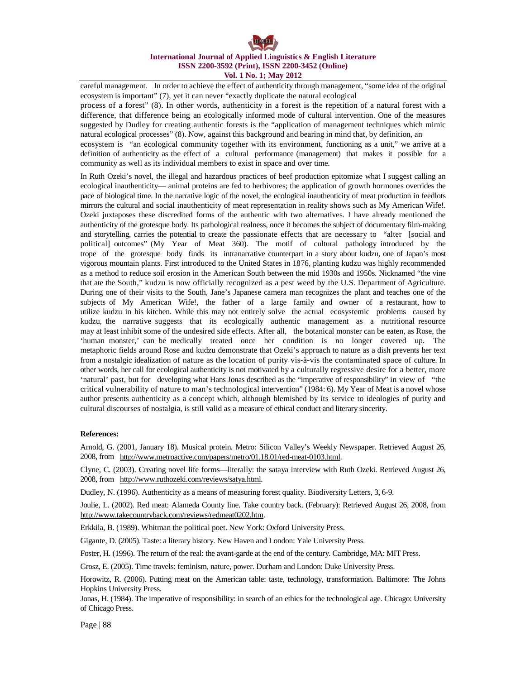careful management. In order to achieve the effect of authenticity through management, "some idea of the original ecosystem is important" (7), yet it can never "exactly duplicate the natural ecological process of a forest" (8). In other words, authenticity in a forest is the repetition of a natural forest with a

difference, that difference being an ecologically informed mode of cultural intervention. One of the measures suggested by Dudley for creating authentic forests is the "application of management techniques which mimic natural ecological processes" (8). Now, against this background and bearing in mind that, by definition, an

ecosystem is "an ecological community together with its environment, functioning as a unit," we arrive at a definition of authenticity as the effect of a cultural performance (management) that makes it possible for a community as well as its individual members to exist in space and over time.

In Ruth Ozeki's novel, the illegal and hazardous practices of beef production epitomize what I suggest calling an ecological inauthenticity— animal proteins are fed to herbivores; the application of growth hormones overrides the pace of biological time. In the narrative logic of the novel, the ecological inauthenticity of meat production in feedlots mirrors the cultural and social inauthenticity of meat representation in reality shows such as My American Wife!. Ozeki juxtaposes these discredited forms of the authentic with two alternatives. I have already mentioned the authenticity of the grotesque body. Its pathological realness, once it becomes the subject of documentary film-making and storytelling, carries the potential to create the passionate effects that are necessary to "alter [social and political] outcomes" (My Year of Meat 360). The motif of cultural pathology introduced by the trope of the grotesque body finds its intranarrative counterpart in a story about kudzu, one of Japan's most vigorous mountain plants. First introduced to the United States in 1876, planting kudzu was highly recommended as a method to reduce soil erosion in the American South between the mid 1930s and 1950s. Nicknamed "the vine that ate the South," kudzu is now officially recognized as a pest weed by the U.S. Department of Agriculture. During one of their visits to the South, Jane's Japanese camera man recognizes the plant and teaches one of the subjects of My American Wife!, the father of a large family and owner of a restaurant, how to utilize kudzu in his kitchen. While this may not entirely solve the actual ecosystemic problems caused by kudzu, the narrative suggests that its ecologically authentic management as a nutritional resource may at least inhibit some of the undesired side effects. After all, the botanical monster can be eaten, as Rose, the 'human monster,' can be medically treated once her condition is no longer covered up. The metaphoric fields around Rose and kudzu demonstrate that Ozeki's approach to nature as a dish prevents her text from a nostalgic idealization of nature as the location of purity vis-à-vis the contaminated space of culture. In other words, her call for ecological authenticity is not motivated by a culturally regressive desire for a better, more 'natural' past, but for developing what Hans Jonas described as the "imperative of responsibility" in view of "the critical vulnerability of nature to man's technological intervention" (1984: 6). My Year of Meat is a novel whose author presents authenticity as a concept which, although blemished by its service to ideologies of purity and cultural discourses of nostalgia, is still valid as a measure of ethical conduct and literary sincerity.

## **References:**

Arnold, G. (2001, January 18). Musical protein. Metro: Silicon Valley's Weekly Newspaper. Retrieved August 26, 2008, from [http://www.metroactive.com/papers/metro/01.18.01/red-meat-0103.html.](http://www.metroactive.com/papers/metro/01.18.01/red-meat-0103.html)

Clyne, C. (2003). Creating novel life forms—literally: the sataya interview with Ruth Ozeki. Retrieved August 26, 2008, from <http://www.ruthozeki.com/reviews/satya.html>.

Dudley, N. (1996). Authenticity as a means of measuring forest quality. Biodiversity Letters, 3, 6-9.

Joulie, L. (2002). Red meat: Alameda County line. Take country back. (February): Retrieved August 26, 2008, from <http://www.takecountryback.com/reviews/redmeat0202.htm>.

Erkkila, B. (1989). Whitman the political poet. New York: Oxford University Press.

Gigante, D. (2005). Taste: a literary history. New Haven and London: Yale University Press.

Foster, H. (1996). The return of the real: the avant-garde at the end of the century. Cambridge, MA: MIT Press.

Grosz, E. (2005). Time travels: feminism, nature, power. Durham and London: Duke University Press.

Horowitz, R. (2006). Putting meat on the American table: taste, technology, transformation. Baltimore: The Johns Hopkins University Press.

Jonas, H. (1984). The imperative of responsibility: in search of an ethics for the technological age. Chicago: University of Chicago Press.

Page | 88